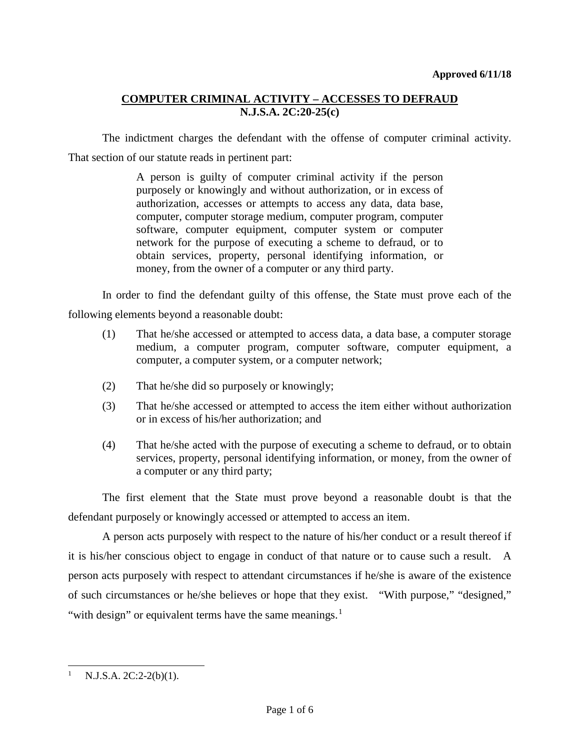The indictment charges the defendant with the offense of computer criminal activity. That section of our statute reads in pertinent part:

> A person is guilty of computer criminal activity if the person purposely or knowingly and without authorization, or in excess of authorization, accesses or attempts to access any data, data base, computer, computer storage medium, computer program, computer software, computer equipment, computer system or computer network for the purpose of executing a scheme to defraud, or to obtain services, property, personal identifying information, or money, from the owner of a computer or any third party.

In order to find the defendant guilty of this offense, the State must prove each of the following elements beyond a reasonable doubt:

- (1) That he/she accessed or attempted to access data, a data base, a computer storage medium, a computer program, computer software, computer equipment, a computer, a computer system, or a computer network;
- (2) That he/she did so purposely or knowingly;
- (3) That he/she accessed or attempted to access the item either without authorization or in excess of his/her authorization; and
- (4) That he/she acted with the purpose of executing a scheme to defraud, or to obtain services, property, personal identifying information, or money, from the owner of a computer or any third party;

The first element that the State must prove beyond a reasonable doubt is that the defendant purposely or knowingly accessed or attempted to access an item.

A person acts purposely with respect to the nature of his/her conduct or a result thereof if it is his/her conscious object to engage in conduct of that nature or to cause such a result. A person acts purposely with respect to attendant circumstances if he/she is aware of the existence of such circumstances or he/she believes or hope that they exist. "With purpose," "designed," "with design" or equivalent terms have the same meanings. $<sup>1</sup>$  $<sup>1</sup>$  $<sup>1</sup>$ </sup>

l

<span id="page-0-0"></span>N.J.S.A. 2C:2-2(b)(1).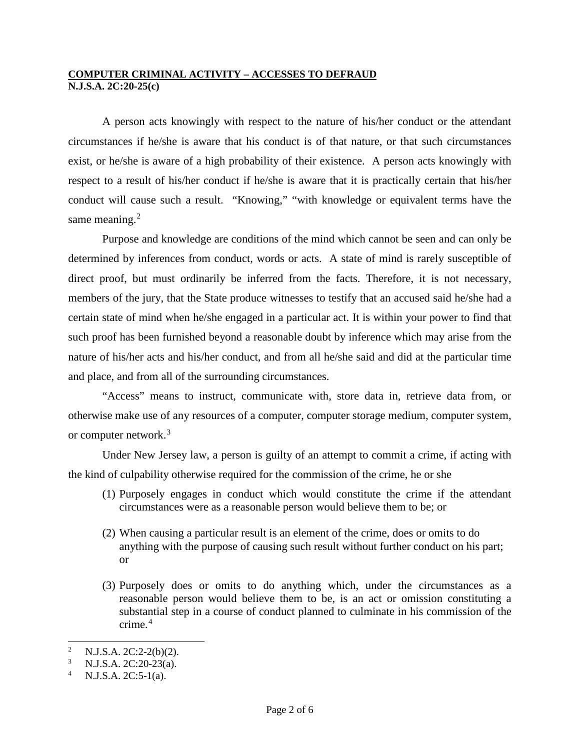A person acts knowingly with respect to the nature of his/her conduct or the attendant circumstances if he/she is aware that his conduct is of that nature, or that such circumstances exist, or he/she is aware of a high probability of their existence. A person acts knowingly with respect to a result of his/her conduct if he/she is aware that it is practically certain that his/her conduct will cause such a result. "Knowing," "with knowledge or equivalent terms have the same meaning.<sup>[2](#page-1-0)</sup>

Purpose and knowledge are conditions of the mind which cannot be seen and can only be determined by inferences from conduct, words or acts. A state of mind is rarely susceptible of direct proof, but must ordinarily be inferred from the facts. Therefore, it is not necessary, members of the jury, that the State produce witnesses to testify that an accused said he/she had a certain state of mind when he/she engaged in a particular act. It is within your power to find that such proof has been furnished beyond a reasonable doubt by inference which may arise from the nature of his/her acts and his/her conduct, and from all he/she said and did at the particular time and place, and from all of the surrounding circumstances.

"Access" means to instruct, communicate with, store data in, retrieve data from, or otherwise make use of any resources of a computer, computer storage medium, computer system, or computer network.<sup>[3](#page-1-1)</sup>

Under New Jersey law, a person is guilty of an attempt to commit a crime, if acting with the kind of culpability otherwise required for the commission of the crime, he or she

- (1) Purposely engages in conduct which would constitute the crime if the attendant circumstances were as a reasonable person would believe them to be; or
- (2) When causing a particular result is an element of the crime, does or omits to do anything with the purpose of causing such result without further conduct on his part; or
- (3) Purposely does or omits to do anything which, under the circumstances as a reasonable person would believe them to be, is an act or omission constituting a substantial step in a course of conduct planned to culminate in his commission of the crime.<sup>[4](#page-1-2)</sup>

<span id="page-1-0"></span> $\mathcal{L}$ <sup>2</sup> N.J.S.A. 2C:2-2(b)(2).<br><sup>3</sup> N.J.S.A. 2C:20.22(c).

<span id="page-1-2"></span><span id="page-1-1"></span><sup>&</sup>lt;sup>3</sup> N.J.S.A. 2C:20-23(a).<br><sup>4</sup> N.J.S.A. 2C:5-1(a).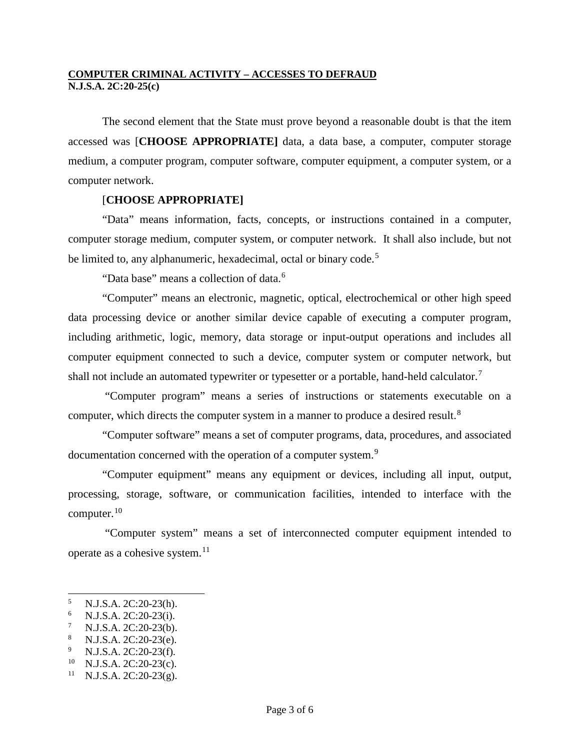The second element that the State must prove beyond a reasonable doubt is that the item accessed was [**CHOOSE APPROPRIATE]** data, a data base, a computer, computer storage medium, a computer program, computer software, computer equipment, a computer system, or a computer network.

## [**CHOOSE APPROPRIATE]**

"Data" means information, facts, concepts, or instructions contained in a computer, computer storage medium, computer system, or computer network. It shall also include, but not be limited to, any alphanumeric, hexadecimal, octal or binary code.<sup>[5](#page-2-0)</sup>

"Data base" means a collection of data.<sup>[6](#page-2-1)</sup>

"Computer" means an electronic, magnetic, optical, electrochemical or other high speed data processing device or another similar device capable of executing a computer program, including arithmetic, logic, memory, data storage or input-output operations and includes all computer equipment connected to such a device, computer system or computer network, but shall not include an automated typewriter or typesetter or a portable, hand-held calculator.<sup>[7](#page-2-2)</sup>

"Computer program" means a series of instructions or statements executable on a computer, which directs the computer system in a manner to produce a desired result.<sup>[8](#page-2-3)</sup>

"Computer software" means a set of computer programs, data, procedures, and associated documentation concerned with the operation of a computer system.<sup>[9](#page-2-4)</sup>

"Computer equipment" means any equipment or devices, including all input, output, processing, storage, software, or communication facilities, intended to interface with the computer. $10$ 

"Computer system" means a set of interconnected computer equipment intended to operate as a cohesive system.<sup>[11](#page-2-6)</sup>

-

<span id="page-2-1"></span>

<span id="page-2-2"></span>

<span id="page-2-4"></span><span id="page-2-3"></span>

<span id="page-2-0"></span><sup>5</sup> N.J.S.A. 2C:20-23(h).<br>
6 N.J.S.A. 2C:20-23(i).<br>
7 N.J.S.A. 2C:20-23(b).<br>
8 N.J.S.A. 2C:20-23(f).<br>
9 N.J.S.A. 2C:20-23(f).<br>
10 N.J.S.A. 2C:20-23(g).<br>
11 N.J.S.A. 2C:20-23(g).

<span id="page-2-5"></span>

<span id="page-2-6"></span>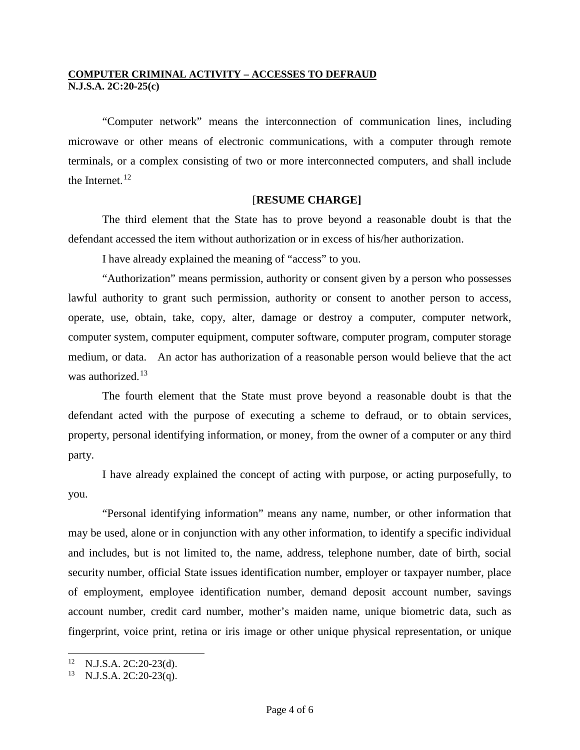"Computer network" means the interconnection of communication lines, including microwave or other means of electronic communications, with a computer through remote terminals, or a complex consisting of two or more interconnected computers, and shall include the Internet. $12$ 

### [**RESUME CHARGE]**

The third element that the State has to prove beyond a reasonable doubt is that the defendant accessed the item without authorization or in excess of his/her authorization.

I have already explained the meaning of "access" to you.

"Authorization" means permission, authority or consent given by a person who possesses lawful authority to grant such permission, authority or consent to another person to access, operate, use, obtain, take, copy, alter, damage or destroy a computer, computer network, computer system, computer equipment, computer software, computer program, computer storage medium, or data. An actor has authorization of a reasonable person would believe that the act was authorized.<sup>[13](#page-3-1)</sup>

The fourth element that the State must prove beyond a reasonable doubt is that the defendant acted with the purpose of executing a scheme to defraud, or to obtain services, property, personal identifying information, or money, from the owner of a computer or any third party.

I have already explained the concept of acting with purpose, or acting purposefully, to you.

"Personal identifying information" means any name, number, or other information that may be used, alone or in conjunction with any other information, to identify a specific individual and includes, but is not limited to, the name, address, telephone number, date of birth, social security number, official State issues identification number, employer or taxpayer number, place of employment, employee identification number, demand deposit account number, savings account number, credit card number, mother's maiden name, unique biometric data, such as fingerprint, voice print, retina or iris image or other unique physical representation, or unique

<span id="page-3-0"></span> $12<sup>12</sup>$ <sup>12</sup> N.J.S.A. 2C:20-23(d).<br><sup>13</sup> N.J.S.A. 2C:20-23(q).

<span id="page-3-1"></span>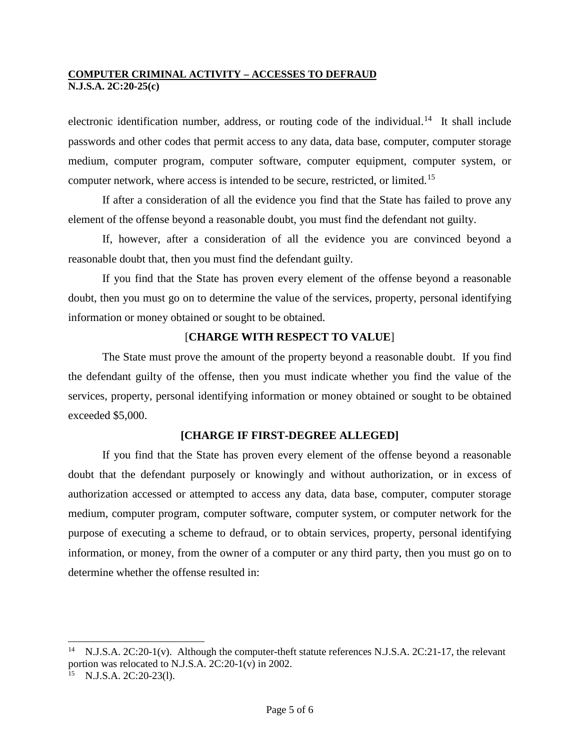electronic identification number, address, or routing code of the individual.<sup>[14](#page-4-0)</sup> It shall include passwords and other codes that permit access to any data, data base, computer, computer storage medium, computer program, computer software, computer equipment, computer system, or computer network, where access is intended to be secure, restricted, or limited.[15](#page-4-1)

If after a consideration of all the evidence you find that the State has failed to prove any element of the offense beyond a reasonable doubt, you must find the defendant not guilty.

If, however, after a consideration of all the evidence you are convinced beyond a reasonable doubt that, then you must find the defendant guilty.

If you find that the State has proven every element of the offense beyond a reasonable doubt, then you must go on to determine the value of the services, property, personal identifying information or money obtained or sought to be obtained.

# [**CHARGE WITH RESPECT TO VALUE**]

The State must prove the amount of the property beyond a reasonable doubt. If you find the defendant guilty of the offense, then you must indicate whether you find the value of the services, property, personal identifying information or money obtained or sought to be obtained exceeded \$5,000.

### **[CHARGE IF FIRST-DEGREE ALLEGED]**

If you find that the State has proven every element of the offense beyond a reasonable doubt that the defendant purposely or knowingly and without authorization, or in excess of authorization accessed or attempted to access any data, data base, computer, computer storage medium, computer program, computer software, computer system, or computer network for the purpose of executing a scheme to defraud, or to obtain services, property, personal identifying information, or money, from the owner of a computer or any third party, then you must go on to determine whether the offense resulted in:

-

<span id="page-4-0"></span>N.J.S.A. 2C:20-1(v). Although the computer-theft statute references N.J.S.A. 2C:21-17, the relevant portion was relocated to N.J.S.A. 2C:20-1(v) in 2002.

<span id="page-4-1"></span><sup>15</sup> N.J.S.A. 2C:20-23(l).